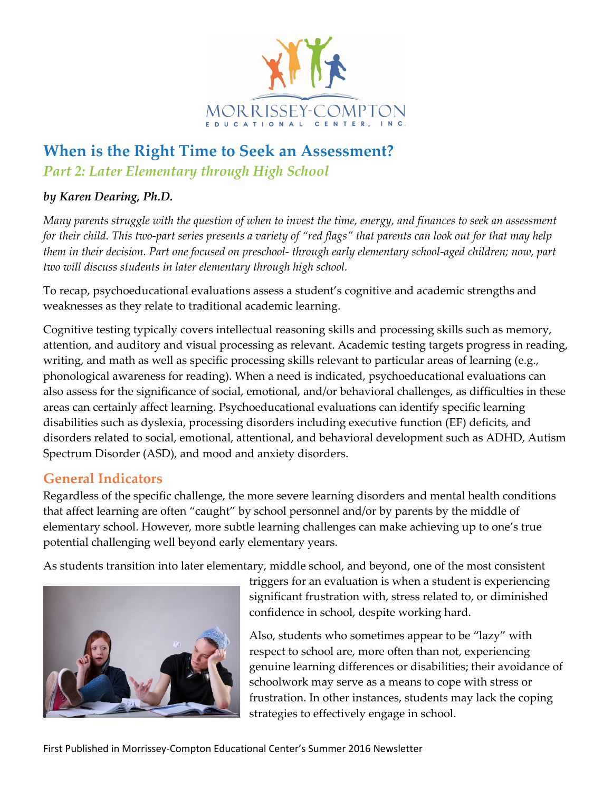

# **When is the Right Time to Seek an Assessment?**  *Part 2: Later Elementary through High School*

#### *by Karen Dearing, Ph.D.*

*Many parents struggle with the question of when to invest the time, energy, and finances to seek an assessment for their child. This two-part series presents a variety of "red flags" that parents can look out for that may help them in their decision. Part one focused on preschool- through early elementary school-aged children; now, part two will discuss students in later elementary through high school.* 

To recap, psychoeducational evaluations assess a student's cognitive and academic strengths and weaknesses as they relate to traditional academic learning.

Cognitive testing typically covers intellectual reasoning skills and processing skills such as memory, attention, and auditory and visual processing as relevant. Academic testing targets progress in reading, writing, and math as well as specific processing skills relevant to particular areas of learning (e.g., phonological awareness for reading). When a need is indicated, psychoeducational evaluations can also assess for the significance of social, emotional, and/or behavioral challenges, as difficulties in these areas can certainly affect learning. Psychoeducational evaluations can identify specific learning disabilities such as dyslexia, processing disorders including executive function (EF) deficits, and disorders related to social, emotional, attentional, and behavioral development such as ADHD, Autism Spectrum Disorder (ASD), and mood and anxiety disorders.

#### **General Indicators**

Regardless of the specific challenge, the more severe learning disorders and mental health conditions that affect learning are often "caught" by school personnel and/or by parents by the middle of elementary school. However, more subtle learning challenges can make achieving up to one's true potential challenging well beyond early elementary years.

As students transition into later elementary, middle school, and beyond, one of the most consistent



triggers for an evaluation is when a student is experiencing significant frustration with, stress related to, or diminished confidence in school, despite working hard.

Also, students who sometimes appear to be "lazy" with respect to school are, more often than not, experiencing genuine learning differences or disabilities; their avoidance of schoolwork may serve as a means to cope with stress or frustration. In other instances, students may lack the coping strategies to effectively engage in school.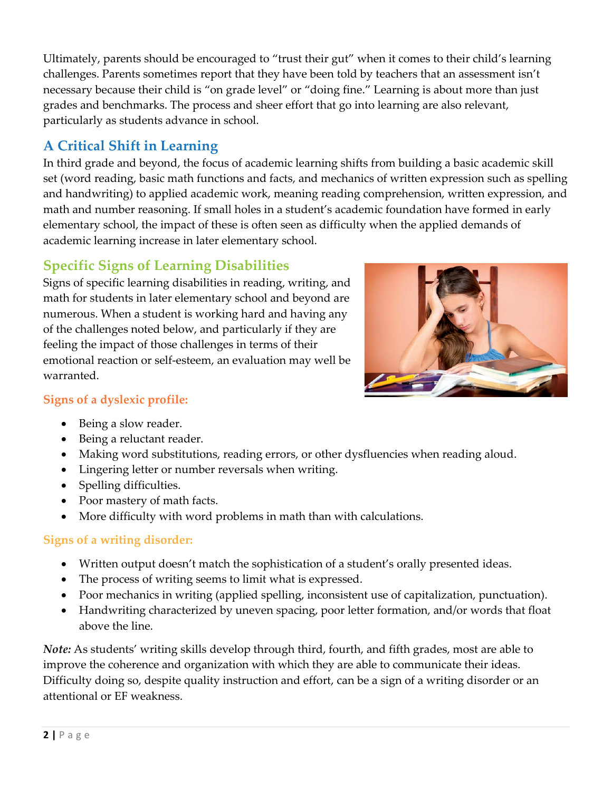Ultimately, parents should be encouraged to "trust their gut" when it comes to their child's learning challenges. Parents sometimes report that they have been told by teachers that an assessment isn't necessary because their child is "on grade level" or "doing fine." Learning is about more than just grades and benchmarks. The process and sheer effort that go into learning are also relevant, particularly as students advance in school.

# **A Critical Shift in Learning**

In third grade and beyond, the focus of academic learning shifts from building a basic academic skill set (word reading, basic math functions and facts, and mechanics of written expression such as spelling and handwriting) to applied academic work, meaning reading comprehension, written expression, and math and number reasoning. If small holes in a student's academic foundation have formed in early elementary school, the impact of these is often seen as difficulty when the applied demands of academic learning increase in later elementary school.

## **Specific Signs of Learning Disabilities**

Signs of specific learning disabilities in reading, writing, and math for students in later elementary school and beyond are numerous. When a student is working hard and having any of the challenges noted below, and particularly if they are feeling the impact of those challenges in terms of their emotional reaction or self-esteem, an evaluation may well be warranted.



- **Signs of a dyslexic profile:**  • Being a slow reader.
	- Being a reluctant reader.
	- Making word substitutions, reading errors, or other dysfluencies when reading aloud.
	- Lingering letter or number reversals when writing.
	- Spelling difficulties.
	- Poor mastery of math facts.
	- More difficulty with word problems in math than with calculations.

#### **Signs of a writing disorder:**

- Written output doesn't match the sophistication of a student's orally presented ideas.
- The process of writing seems to limit what is expressed.
- Poor mechanics in writing (applied spelling, inconsistent use of capitalization, punctuation).
- Handwriting characterized by uneven spacing, poor letter formation, and/or words that float above the line.

*Note:* As students' writing skills develop through third, fourth, and fifth grades, most are able to improve the coherence and organization with which they are able to communicate their ideas. Difficulty doing so, despite quality instruction and effort, can be a sign of a writing disorder or an attentional or EF weakness.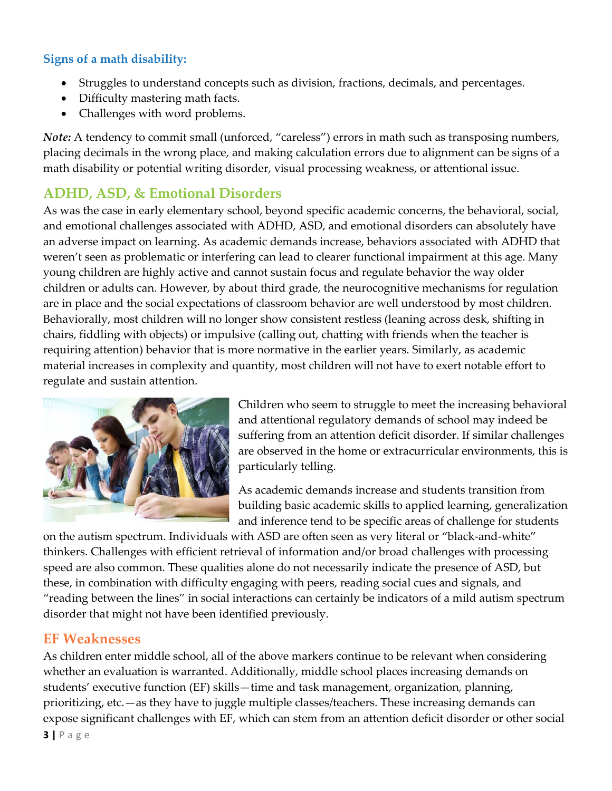#### **Signs of a math disability:**

- Struggles to understand concepts such as division, fractions, decimals, and percentages.
- Difficulty mastering math facts.
- Challenges with word problems.

*Note:* A tendency to commit small (unforced, "careless") errors in math such as transposing numbers, placing decimals in the wrong place, and making calculation errors due to alignment can be signs of a math disability or potential writing disorder, visual processing weakness, or attentional issue.

# **ADHD, ASD, & Emotional Disorders**

As was the case in early elementary school, beyond specific academic concerns, the behavioral, social, and emotional challenges associated with ADHD, ASD, and emotional disorders can absolutely have an adverse impact on learning. As academic demands increase, behaviors associated with ADHD that weren't seen as problematic or interfering can lead to clearer functional impairment at this age. Many young children are highly active and cannot sustain focus and regulate behavior the way older children or adults can. However, by about third grade, the neurocognitive mechanisms for regulation are in place and the social expectations of classroom behavior are well understood by most children. Behaviorally, most children will no longer show consistent restless (leaning across desk, shifting in chairs, fiddling with objects) or impulsive (calling out, chatting with friends when the teacher is requiring attention) behavior that is more normative in the earlier years. Similarly, as academic material increases in complexity and quantity, most children will not have to exert notable effort to regulate and sustain attention.



Children who seem to struggle to meet the increasing behavioral and attentional regulatory demands of school may indeed be suffering from an attention deficit disorder. If similar challenges are observed in the home or extracurricular environments, this is particularly telling.

As academic demands increase and students transition from building basic academic skills to applied learning, generalization and inference tend to be specific areas of challenge for students

on the autism spectrum. Individuals with ASD are often seen as very literal or "black-and-white" thinkers. Challenges with efficient retrieval of information and/or broad challenges with processing speed are also common. These qualities alone do not necessarily indicate the presence of ASD, but these, in combination with difficulty engaging with peers, reading social cues and signals, and "reading between the lines" in social interactions can certainly be indicators of a mild autism spectrum disorder that might not have been identified previously.

#### **EF Weaknesses**

As children enter middle school, all of the above markers continue to be relevant when considering whether an evaluation is warranted. Additionally, middle school places increasing demands on students' executive function (EF) skills—time and task management, organization, planning, prioritizing, etc.—as they have to juggle multiple classes/teachers. These increasing demands can expose significant challenges with EF, which can stem from an attention deficit disorder or other social